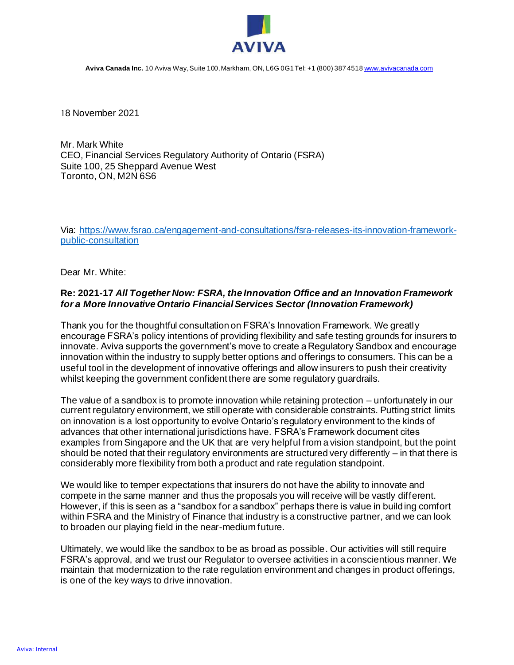

**Aviva Canada Inc.** 10 Aviva Way, Suite 100, Markham, ON, L6G 0G1 Tel: +1 (800) 387 451[8 www.avivacanada.com](http://www.avivacanada.com/)

18 November 2021

Mr. Mark White CEO, Financial Services Regulatory Authority of Ontario (FSRA) Suite 100, 25 Sheppard Avenue West Toronto, ON, M2N 6S6

Via: [https://www.fsrao.ca/engagement-and-consultations/fsra-releases-its-innovation-framework](https://www.fsrao.ca/engagement-and-consultations/fsra-releases-its-innovation-framework-public-consultation)[public-consultation](https://www.fsrao.ca/engagement-and-consultations/fsra-releases-its-innovation-framework-public-consultation)

Dear Mr. White:

#### **Re: 2021-17** *All Together Now: FSRA, the Innovation Office and an Innovation Framework for a More Innovative Ontario Financial Services Sector (Innovation Framework)*

Thank you for the thoughtful consultation on FSRA's Innovation Framework. We greatly encourage FSRA's policy intentions of providing flexibility and safe testing grounds for insurers to innovate. Aviva supports the government's move to create a Regulatory Sandbox and encourage innovation within the industry to supply better options and offerings to consumers. This can be a useful tool in the development of innovative offerings and allow insurers to push their creativity whilst keeping the government confident there are some regulatory guardrails.

The value of a sandbox is to promote innovation while retaining protection – unfortunately in our current regulatory environment, we still operate with considerable constraints. Putting strict limits on innovation is a lost opportunity to evolve Ontario's regulatory environment to the kinds of advances that other international jurisdictions have. FSRA's Framework document cites examples from Singapore and the UK that are very helpful from a vision standpoint, but the point should be noted that their regulatory environments are structured very differently – in that there is considerably more flexibility from both a product and rate regulation standpoint.

We would like to temper expectations that insurers do not have the ability to innovate and compete in the same manner and thus the proposals you will receive will be vastly different. However, if this is seen as a "sandbox for a sandbox" perhaps there is value in building comfort within FSRA and the Ministry of Finance that industry is a constructive partner, and we can look to broaden our playing field in the near-medium future.

Ultimately, we would like the sandbox to be as broad as possible. Our activities will still require FSRA's approval, and we trust our Regulator to oversee activities in a conscientious manner. We maintain that modernization to the rate regulation environment and changes in product offerings, is one of the key ways to drive innovation.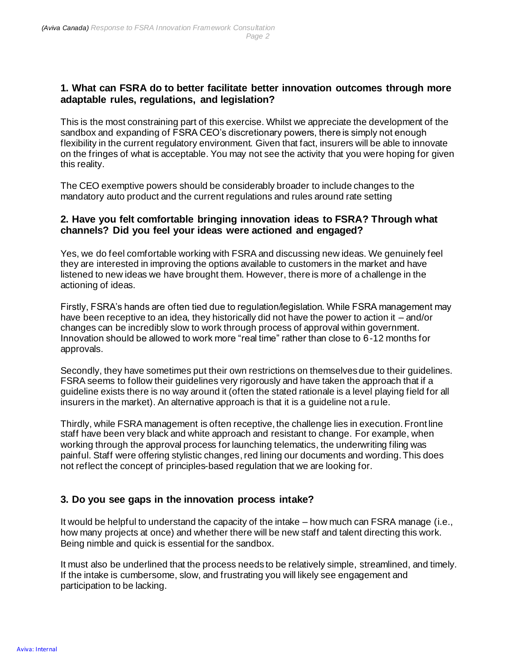# **1. What can FSRA do to better facilitate better innovation outcomes through more adaptable rules, regulations, and legislation?**

This is the most constraining part of this exercise. Whilst we appreciate the development of the sandbox and expanding of FSRA CEO's discretionary powers, there is simply not enough flexibility in the current regulatory environment. Given that fact, insurers will be able to innovate on the fringes of what is acceptable. You may not see the activity that you were hoping for given this reality.

The CEO exemptive powers should be considerably broader to include changes to the mandatory auto product and the current regulations and rules around rate setting

### **2. Have you felt comfortable bringing innovation ideas to FSRA? Through what channels? Did you feel your ideas were actioned and engaged?**

Yes, we do feel comfortable working with FSRA and discussing new ideas. We genuinely feel they are interested in improving the options available to customers in the market and have listened to new ideas we have brought them. However, there is more of a challenge in the actioning of ideas.

Firstly, FSRA's hands are often tied due to regulation/legislation. While FSRA management may have been receptive to an idea, they historically did not have the power to action it – and/or changes can be incredibly slow to work through process of approval within government. Innovation should be allowed to work more "real time" rather than close to 6-12 months for approvals.

Secondly, they have sometimes put their own restrictions on themselves due to their guidelines. FSRA seems to follow their guidelines very rigorously and have taken the approach that if a guideline exists there is no way around it (often the stated rationale is a level playing field for all insurers in the market). An alternative approach is that it is a guideline not a rule.

Thirdly, while FSRA management is often receptive, the challenge lies in execution. Front line staff have been very black and white approach and resistant to change. For example, when working through the approval process for launching telematics, the underwriting filing was painful. Staff were offering stylistic changes, red lining our documents and wording. This does not reflect the concept of principles-based regulation that we are looking for.

# **3. Do you see gaps in the innovation process intake?**

It would be helpful to understand the capacity of the intake – how much can FSRA manage (i.e., how many projects at once) and whether there will be new staff and talent directing this work. Being nimble and quick is essential for the sandbox.

It must also be underlined that the process needs to be relatively simple, streamlined, and timely. If the intake is cumbersome, slow, and frustrating you will likely see engagement and participation to be lacking.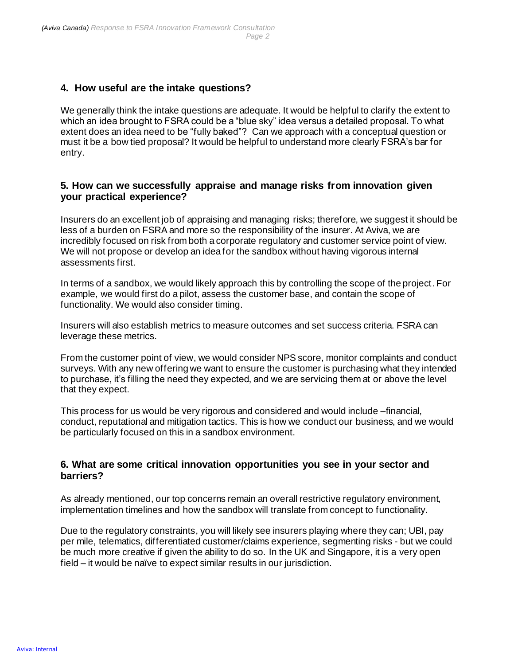# **4. How useful are the intake questions?**

We generally think the intake questions are adequate. It would be helpful to clarify the extent to which an idea brought to FSRA could be a "blue sky" idea versus a detailed proposal. To what extent does an idea need to be "fully baked"? Can we approach with a conceptual question or must it be a bow tied proposal? It would be helpful to understand more clearly FSRA's bar for entry.

### **5. How can we successfully appraise and manage risks from innovation given your practical experience?**

Insurers do an excellent job of appraising and managing risks; therefore, we suggest it should be less of a burden on FSRA and more so the responsibility of the insurer. At Aviva, we are incredibly focused on risk from both a corporate regulatory and customer service point of view. We will not propose or develop an idea for the sandbox without having vigorous internal assessments first.

In terms of a sandbox, we would likely approach this by controlling the scope of the project. For example, we would first do a pilot, assess the customer base, and contain the scope of functionality. We would also consider timing.

Insurers will also establish metrics to measure outcomes and set success criteria. FSRA can leverage these metrics.

From the customer point of view, we would consider NPS score, monitor complaints and conduct surveys. With any new offering we want to ensure the customer is purchasing what they intended to purchase, it's filling the need they expected, and we are servicing them at or above the level that they expect.

This process for us would be very rigorous and considered and would include –financial, conduct, reputational and mitigation tactics. This is how we conduct our business, and we would be particularly focused on this in a sandbox environment.

### **6. What are some critical innovation opportunities you see in your sector and barriers?**

As already mentioned, our top concerns remain an overall restrictive regulatory environment, implementation timelines and how the sandbox will translate from concept to functionality.

Due to the regulatory constraints, you will likely see insurers playing where they can; UBI, pay per mile, telematics, differentiated customer/claims experience, segmenting risks - but we could be much more creative if given the ability to do so. In the UK and Singapore, it is a very open field – it would be naïve to expect similar results in our jurisdiction.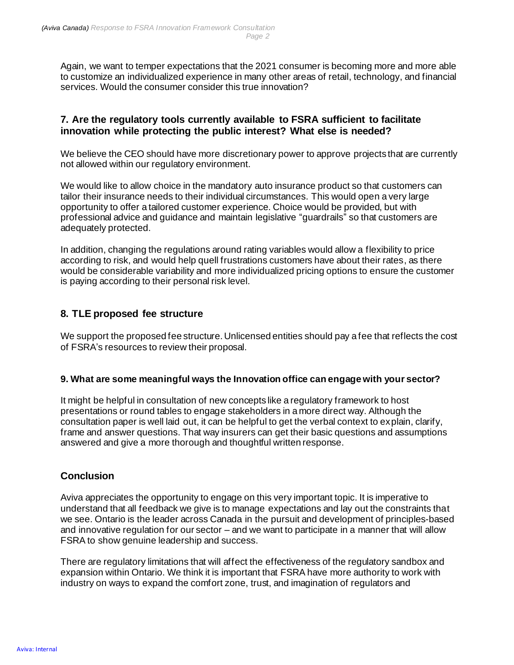Again, we want to temper expectations that the 2021 consumer is becoming more and more able to customize an individualized experience in many other areas of retail, technology, and financial services. Would the consumer consider this true innovation?

# **7. Are the regulatory tools currently available to FSRA sufficient to facilitate innovation while protecting the public interest? What else is needed?**

We believe the CEO should have more discretionary power to approve projects that are currently not allowed within our regulatory environment.

We would like to allow choice in the mandatory auto insurance product so that customers can tailor their insurance needs to their individual circumstances. This would open a very large opportunity to offer a tailored customer experience. Choice would be provided, but with professional advice and guidance and maintain legislative "guardrails" so that customers are adequately protected.

In addition, changing the regulations around rating variables would allow a flexibility to price according to risk, and would help quell frustrations customers have about their rates, as there would be considerable variability and more individualized pricing options to ensure the customer is paying according to their personal risk level.

# **8. TLE proposed fee structure**

We support the proposed fee structure. Unlicensed entities should pay a fee that reflects the cost of FSRA's resources to review their proposal.

#### **9. What are some meaningful ways the Innovation office can engage with your sector?**

It might be helpful in consultation of new concepts like a regulatory framework to host presentations or round tables to engage stakeholders in a more direct way. Although the consultation paper is well laid out, it can be helpful to get the verbal context to explain, clarify, frame and answer questions. That way insurers can get their basic questions and assumptions answered and give a more thorough and thoughtful written response.

# **Conclusion**

Aviva appreciates the opportunity to engage on this very important topic. It is imperative to understand that all feedback we give is to manage expectations and lay out the constraints that we see. Ontario is the leader across Canada in the pursuit and development of principles-based and innovative regulation for our sector – and we want to participate in a manner that will allow FSRA to show genuine leadership and success.

There are regulatory limitations that will affect the effectiveness of the regulatory sandbox and expansion within Ontario. We think it is important that FSRA have more authority to work with industry on ways to expand the comfort zone, trust, and imagination of regulators and